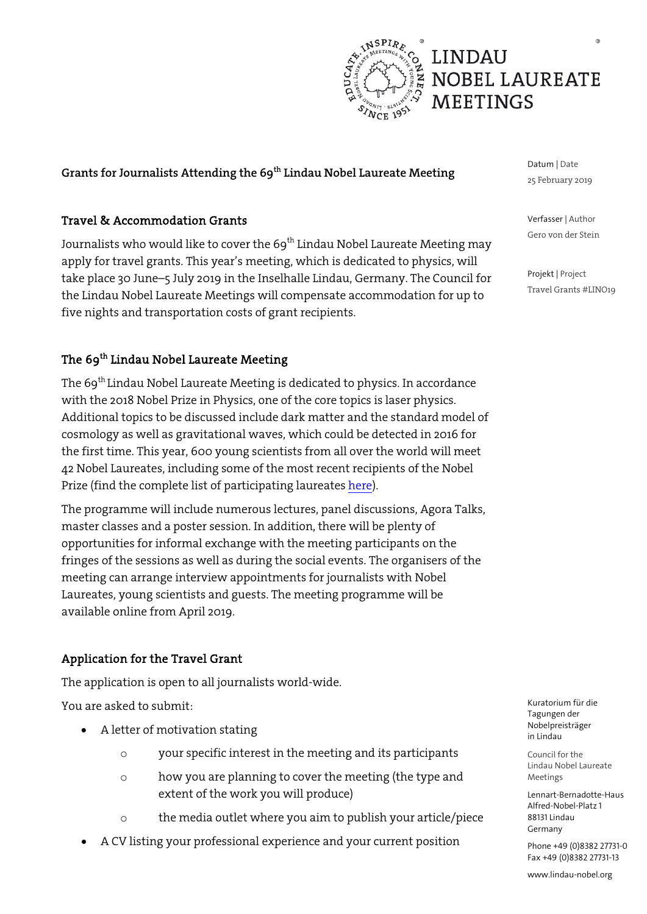

**Grants for Journalists Attending the 69th Lindau Nobel Laureate Meeting**

### Travel & Accommodation Grants

Journalists who would like to cover the  $69<sup>th</sup>$  Lindau Nobel Laureate Meeting may apply for travel grants. This year's meeting, which is dedicated to physics, will take place 30 June–5 July 2019 in the Inselhalle Lindau, Germany. The Council for the Lindau Nobel Laureate Meetings will compensate accommodation for up to five nights and transportation costs of grant recipients.

# The 69<sup>th</sup> Lindau Nobel Laureate Meeting

The 69<sup>th</sup> Lindau Nobel Laureate Meeting is dedicated to physics. In accordance with the 2018 Nobel Prize in Physics, one of the core topics is laser physics. Additional topics to be discussed include dark matter and the standard model of cosmology as well as gravitational waves, which could be detected in 2016 for the first time. This year, 600 young scientists from all over the world will meet 42 Nobel Laureates, including some of the most recent recipients of the Nobel Prize (find the complete list of participating laureate[s here\)](https://www.mediatheque.lindau-nobel.org/laureates/meeting-2019).

The programme will include numerous lectures, panel discussions, Agora Talks, master classes and a poster session. In addition, there will be plenty of opportunities for informal exchange with the meeting participants on the fringes of the sessions as well as during the social events. The organisers of the meeting can arrange interview appointments for journalists with Nobel Laureates, young scientists and guests. The meeting programme will be available online from April 2019.

# Application for the Travel Grant

The application is open to all journalists world-wide.

You are asked to submit:

- A letter of motivation stating
	- o your specific interest in the meeting and its participants
	- o how you are planning to cover the meeting (the type and extent of the work you will produce)
	- o the media outlet where you aim to publish your article/piece
- A CV listing your professional experience and your current position

Datum | Date 25 February 2019

Verfasser | Author Gero von der Stein

Projekt | Project Travel Grants #LINO19

Kuratorium für die Tagungen der Nobelpreisträger in Lindau

Council for the Lindau Nobel Laureate Meetings

Lennart-Bernadotte-Haus Alfred-Nobel-Platz 1 88131 Lindau Germany

Phone +49 (0)8382 27731-0 Fax +49 (0)8382 27731-13

www.lindau-nobel.org